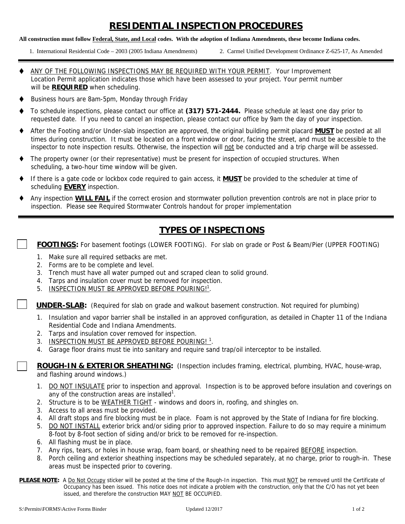# **RESIDENTIAL INSPECTION PROCEDURES**

#### **All construction must follow Federal, State, and Local codes. With the adoption of Indiana Amendments, these become Indiana codes.**

- 1. International Residential Code 2003 (2005 Indiana Amendments) 2. Carmel Unified Development Ordinance Z-625-17, As Amended
- 
- ANY OF THE FOLLOWING INSPECTIONS MAY BE REQUIRED WITH YOUR PERMIT. Your Improvement Location Permit application indicates those which have been assessed to your project. Your permit number will be **REQUIRED** when scheduling.
- Business hours are 8am-5pm, Monday through Friday
- To schedule inspections, please contact our office at **(317) 571-2444.** Please schedule at least one day prior to requested date. If you need to cancel an inspection, please contact our office by 9am the day of your inspection.
- After the Footing and/or Under-slab inspection are approved, the original building permit placard **MUST** be posted at all times during construction. It must be located on a front window or door, facing the street, and must be accessible to the inspector to note inspection results. Otherwise, the inspection will not be conducted and a trip charge will be assessed.
- The property owner (or their representative) must be present for inspection of occupied structures. When scheduling, a two-hour time window will be given.
- If there is a gate code or lockbox code required to gain access, it **MUST** be provided to the scheduler at time of scheduling **EVERY** inspection.
- Any inspection **WILL FAIL** if the correct erosion and stormwater pollution prevention controls are not in place prior to inspection. Please see Required Stormwater Controls handout for proper implementation

# **TYPES OF INSPECTIONS**

 **FOOTINGS:** For basement footings (LOWER FOOTING). For slab on grade or Post & Beam/Pier (UPPER FOOTING)

- 1. Make sure all required setbacks are met.
- 2. Forms are to be complete and level.
- 3. Trench must have all water pumped out and scraped clean to solid ground.
- 4. Tarps and insulation cover must be removed for inspection.
- 5. INSPECTION MUST BE APPROVED BEFORE POURING!<sup>1</sup>.

 **UNDER-SLAB:** (Required for slab on grade and walkout basement construction. Not required for plumbing)

- 1. Insulation and vapor barrier shall be installed in an approved configuration, as detailed in Chapter 11 of the Indiana Residential Code and Indiana Amendments.
- 2. Tarps and insulation cover removed for inspection.
- 3. INSPECTION MUST BE APPROVED BEFORE POURING!<sup>1</sup>.
- 4. Garage floor drains must tie into sanitary and require sand trap/oil interceptor to be installed.

 **ROUGH-IN & EXTERIOR SHEATHING:** (Inspection includes framing, electrical, plumbing, HVAC, house-wrap, and flashing around windows.)

- 1. DO NOT INSULATE prior to inspection and approval. Inspection is to be approved before insulation and coverings on any of the construction areas are installed<sup>1</sup>.
- 2. Structure is to be WEATHER TIGHT windows and doors in, roofing, and shingles on.
- 3. Access to all areas must be provided.
- 4. All draft stops and fire blocking must be in place. Foam is not approved by the State of Indiana for fire blocking.
- 5. DO NOT INSTALL exterior brick and/or siding prior to approved inspection. Failure to do so may require a minimum 8-foot by 8-foot section of siding and/or brick to be removed for re-inspection.
- 6. All flashing must be in place.
- 7. Any rips, tears, or holes in house wrap, foam board, or sheathing need to be repaired BEFORE inspection.
- 8. Porch ceiling and exterior sheathing inspections may be scheduled separately, at no charge, prior to rough-in. These areas must be inspected prior to covering.
- **PLEASE NOTE:** A Do Not Occupy sticker will be posted at the time of the Rough-In inspection. This must NOT be removed until the Certificate of Occupancy has been issued. This notice does not indicate a problem with the construction, only that the C/O has not yet been issued, and therefore the construction MAY NOT BE OCCUPIED.